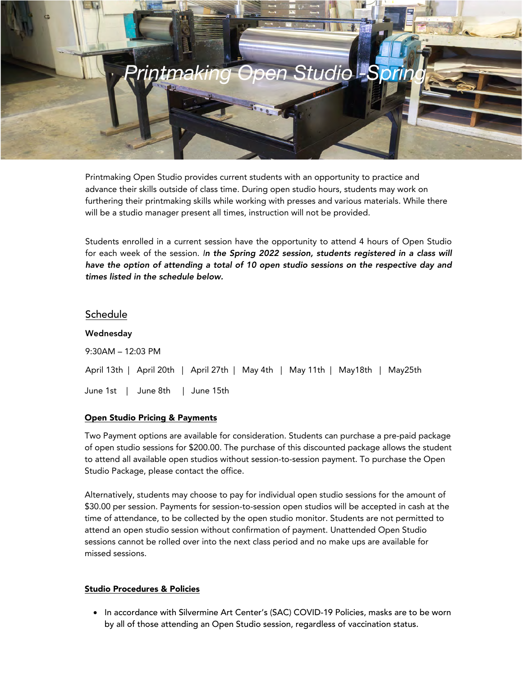

Printmaking Open Studio provides current students with an opportunity to practice and advance their skills outside of class time. During open studio hours, students may work on furthering their printmaking skills while working with presses and various materials. While there will be a studio manager present all times, instruction will not be provided.

Students enrolled in a current session have the opportunity to attend 4 hours of Open Studio for each week of the session. In the Spring 2022 session, students registered in a class will have the option of attending a total of 10 open studio sessions on the respective day and times listed in the schedule below.

## Schedule

| Wednesday                       |  |  |                                                                               |  |  |  |  |  |  |
|---------------------------------|--|--|-------------------------------------------------------------------------------|--|--|--|--|--|--|
| $9:30AM - 12:03 PM$             |  |  |                                                                               |  |  |  |  |  |  |
|                                 |  |  | April 13th   April 20th   April 27th   May 4th   May 11th   May18th   May25th |  |  |  |  |  |  |
| June 1st   June 8th   June 15th |  |  |                                                                               |  |  |  |  |  |  |

## Open Studio Pricing & Payments

Two Payment options are available for consideration. Students can purchase a pre-paid package of open studio sessions for \$200.00. The purchase of this discounted package allows the student to attend all available open studios without session-to-session payment. To purchase the Open Studio Package, please contact the office.

Alternatively, students may choose to pay for individual open studio sessions for the amount of \$30.00 per session. Payments for session-to-session open studios will be accepted in cash at the time of attendance, to be collected by the open studio monitor. Students are not permitted to attend an open studio session without confirmation of payment. Unattended Open Studio sessions cannot be rolled over into the next class period and no make ups are available for missed sessions.

## Studio Procedures & Policies

• In accordance with Silvermine Art Center's (SAC) COVID-19 Policies, masks are to be worn by all of those attending an Open Studio session, regardless of vaccination status.